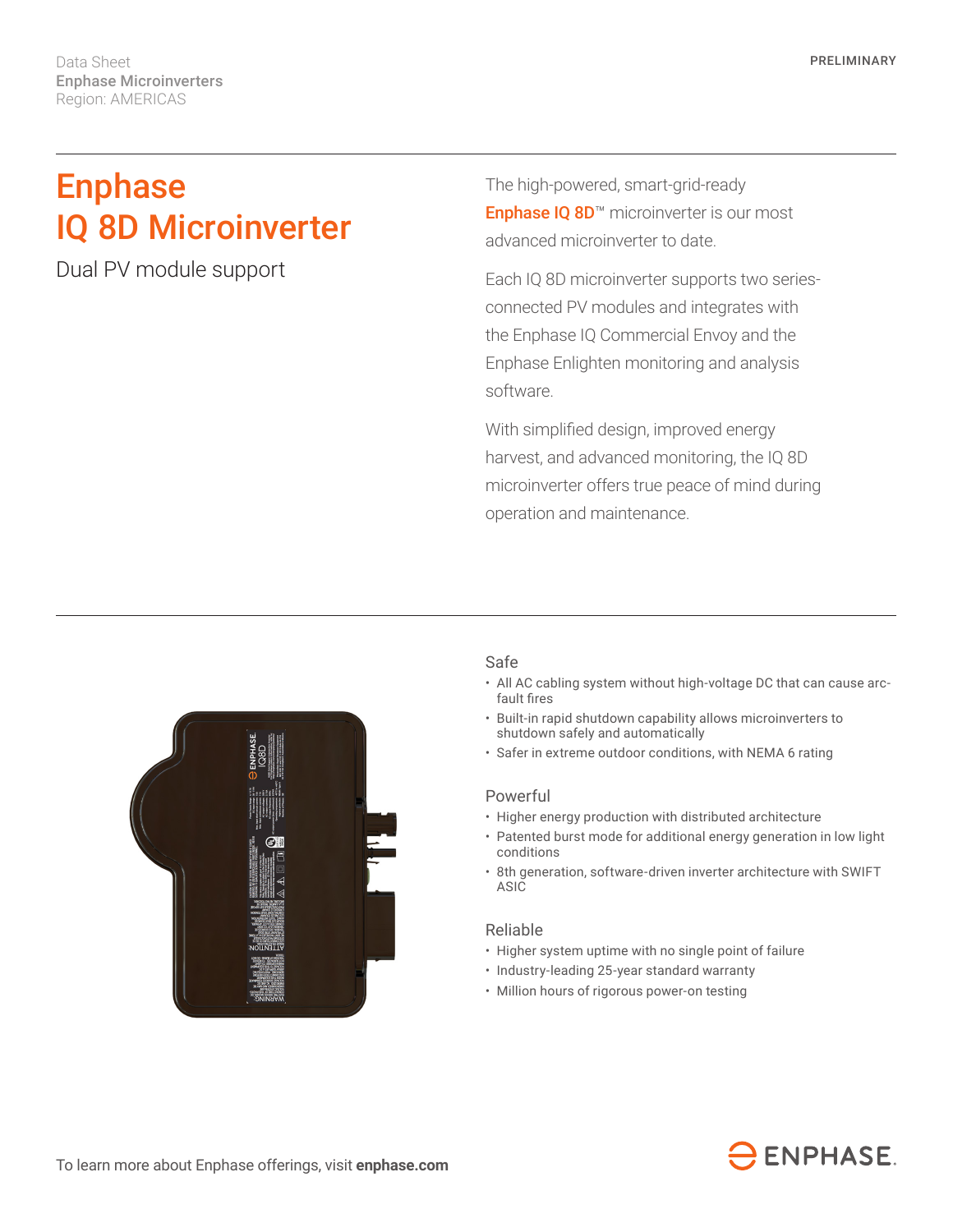Data Sheet Enphase Microinverters Region: AMERICAS

# Enphase IQ 8D Microinverter

Dual PV module support

The high-powered, smart-grid-ready Enphase IQ 8D<sup>™</sup> microinverter is our most advanced microinverter to date.

Each IQ 8D microinverter supports two seriesconnected PV modules and integrates with the Enphase IQ Commercial Envoy and the Enphase Enlighten monitoring and analysis software.

With simplified design, improved energy harvest, and advanced monitoring, the IQ 8D microinverter offers true peace of mind during operation and maintenance.



## Safe

- All AC cabling system without high-voltage DC that can cause arcfault fires
- Built-in rapid shutdown capability allows microinverters to shutdown safely and automatically
- Safer in extreme outdoor conditions, with NEMA 6 rating

#### Powerful

- Higher energy production with distributed architecture
- Patented burst mode for additional energy generation in low light conditions
- 8th generation, software-driven inverter architecture with SWIFT ASIC

## Reliable

- Higher system uptime with no single point of failure
- Industry-leading 25-year standard warranty
- Million hours of rigorous power-on testing